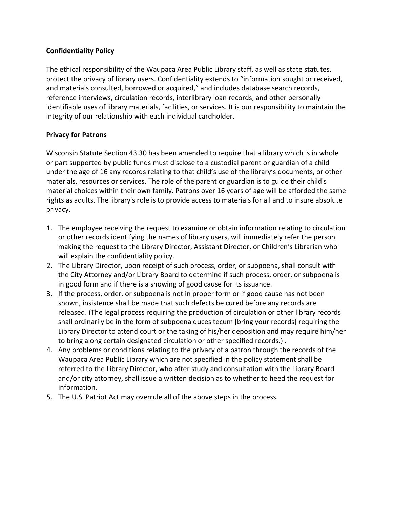## **Confidentiality Policy**

The ethical responsibility of the Waupaca Area Public Library staff, as well as state statutes, protect the privacy of library users. Confidentiality extends to "information sought or received, and materials consulted, borrowed or acquired," and includes database search records, reference interviews, circulation records, interlibrary loan records, and other personally identifiable uses of library materials, facilities, or services. It is our responsibility to maintain the integrity of our relationship with each individual cardholder.

## **Privacy for Patrons**

Wisconsin Statute Section 43.30 has been amended to require that a library which is in whole or part supported by public funds must disclose to a custodial parent or guardian of a child under the age of 16 any records relating to that child's use of the library's documents, or other materials, resources or services. The role of the parent or guardian is to guide their child's material choices within their own family. Patrons over 16 years of age will be afforded the same rights as adults. The library's role is to provide access to materials for all and to insure absolute privacy.

- 1. The employee receiving the request to examine or obtain information relating to circulation or other records identifying the names of library users, will immediately refer the person making the request to the Library Director, Assistant Director, or Children's Librarian who will explain the confidentiality policy.
- 2. The Library Director, upon receipt of such process, order, or subpoena, shall consult with the City Attorney and/or Library Board to determine if such process, order, or subpoena is in good form and if there is a showing of good cause for its issuance.
- 3. If the process, order, or subpoena is not in proper form or if good cause has not been shown, insistence shall be made that such defects be cured before any records are released. (The legal process requiring the production of circulation or other library records shall ordinarily be in the form of subpoena duces tecum [bring your records] requiring the Library Director to attend court or the taking of his/her deposition and may require him/her to bring along certain designated circulation or other specified records.) .
- 4. Any problems or conditions relating to the privacy of a patron through the records of the Waupaca Area Public Library which are not specified in the policy statement shall be referred to the Library Director, who after study and consultation with the Library Board and/or city attorney, shall issue a written decision as to whether to heed the request for information.
- 5. The U.S. Patriot Act may overrule all of the above steps in the process.